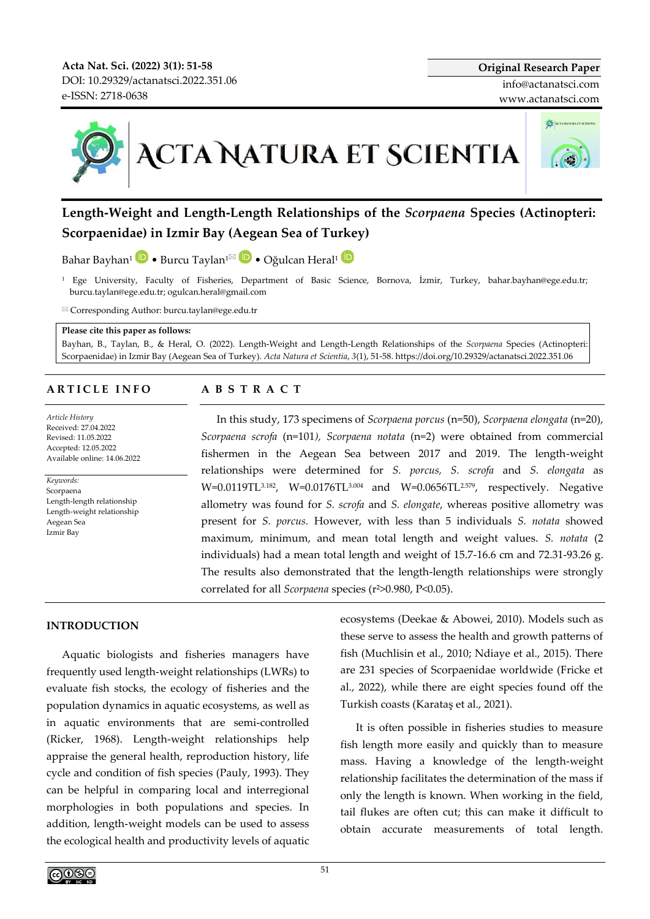**Acta Nat. Sci. (2022) 3(1): 51-58** DOI[: 10.29329/actanatsci.2022.351.06](https://doi.org/10.29329/actanatsci.2022.351.06) e-ISSN: 2718-0638



**Length-Weight and Length-Length Relationships of the** *Scorpaena* **Species (Actinopteri: Scorpaenidae) in Izmir Bay (Aegean Sea of Turkey)**

Bahar Bayhan<sup>1</sup> • Burcu Taylan<sup>1 $\mathbf{D}$ </sup> • Oğulcan Heral<sup>1</sup>  $\mathbf{D}$ 

<sup>1</sup> Ege University, Faculty of Fisheries, Department of Basic Science, Bornova, İzmir, Turkey, bahar.bayhan@ege.edu.tr; burcu.taylan@ege.edu.tr; ogulcan.heral@gmail.com

Corresponding Author: burcu.taylan@ege.edu.tr

#### **Please cite this paper as follows:**

Bayhan, B., Taylan, B., & Heral, O. (2022). Length-Weight and Length-Length Relationships of the *Scorpaena* Species (Actinopteri: Scorpaenidae) in Izmir Bay (Aegean Sea of Turkey). *Acta Natura et Scientia*, *3*(1), 51-58. https://doi.org/10.29329/actanatsci.2022.351.06

#### **A R T I C L E I N F O**

*Article History* Received: 27.04.2022 Revised: 11.05.2022 Accepted: 12.05.2022 Available online: 14.06.2022

*Keywords:*  Scorpaena Length-length relationship Length-weight relationship Aegean Sea Izmir Bay

#### **A B S T R A C T**

In this study, 173 specimens of *Scorpaena porcus* (n=50), *Scorpaena elongata* (n=20), *Scorpaena scrofa* (n=101*), Scorpaena notata* (n=2) were obtained from commercial fishermen in the Aegean Sea between 2017 and 2019. The length-weight relationships were determined for *S. porcus, S. scrofa* and *S. elongata* as W=0.0119TL<sup>3.182</sup>, W=0.0176TL<sup>3.004</sup> and W=0.0656TL<sup>2.579</sup>, respectively. Negative allometry was found for *S. scrofa* and *S. elongate*, whereas positive allometry was present for *S. porcus.* However, with less than 5 individuals *S. notata* showed maximum, minimum, and mean total length and weight values. *S. notata* (2 individuals) had a mean total length and weight of 15.7-16.6 cm and 72.31-93.26 g. The results also demonstrated that the length-length relationships were strongly correlated for all *Scorpaena* species (r²>0.980, P<0.05).

# **INTRODUCTION**

Aquatic biologists and fisheries managers have frequently used length-weight relationships (LWRs) to evaluate fish stocks, the ecology of fisheries and the population dynamics in aquatic ecosystems, as well as in aquatic environments that are semi-controlled (Ricker, 1968). Length-weight relationships help appraise the general health, reproduction history, life cycle and condition of fish species (Pauly, 1993). They can be helpful in comparing local and interregional morphologies in both populations and species. In addition, length-weight models can be used to assess the ecological health and productivity levels of aquatic ecosystems (Deekae & Abowei, 2010). Models such as these serve to assess the health and growth patterns of fish (Muchlisin et al., 2010; Ndiaye et al., 2015). There are 231 species of Scorpaenidae worldwide (Fricke et al., 2022), while there are eight species found off the Turkish coasts (Karataş et al., 2021).

It is often possible in fisheries studies to measure fish length more easily and quickly than to measure mass. Having a knowledge of the length-weight relationship facilitates the determination of the mass if only the length is known. When working in the field, tail flukes are often cut; this can make it difficult to obtain accurate measurements of total length.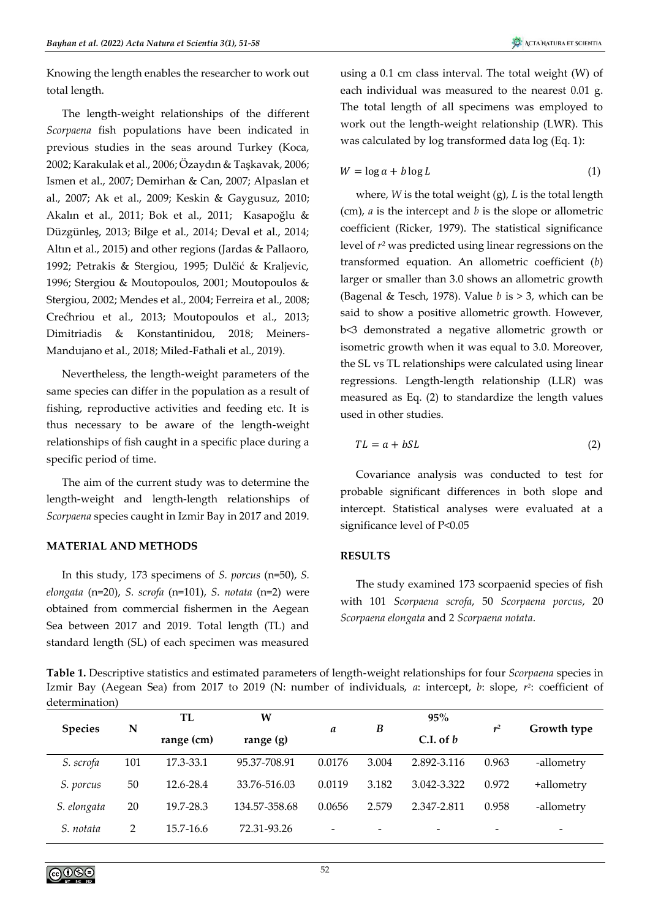Knowing the length enables the researcher to work out total length.

The length-weight relationships of the different *Scorpaena* fish populations have been indicated in previous studies in the seas around Turkey (Koca, 2002; Karakulak et al., 2006; Özaydın & Taşkavak, 2006; Ismen et al., 2007; Demirhan & Can, 2007; Alpaslan et al., 2007; Ak et al., 2009; Keskin & Gaygusuz, 2010; Akalın et al., 2011; Bok et al., 2011; Kasapoğlu & Düzgünleş, 2013; Bilge et al., 2014; Deval et al., 2014; Altın et al., 2015) and other regions (Jardas & Pallaoro, 1992; Petrakis & Stergiou, 1995; Dulčić & Kraljevic, 1996; Stergiou & Moutopoulos, 2001; Moutopoulos & Stergiou, 2002; Mendes et al., 2004; Ferreira et al., 2008; Crećhriou et al., 2013; Moutopoulos et al., 2013; Dimitriadis & Konstantinidou, 2018; Meiners-Mandujano et al., 2018; Miled-Fathali et al., 2019).

Nevertheless, the length-weight parameters of the same species can differ in the population as a result of fishing, reproductive activities and feeding etc. It is thus necessary to be aware of the length-weight relationships of fish caught in a specific place during a specific period of time.

The aim of the current study was to determine the length-weight and length-length relationships of *Scorpaena* species caught in Izmir Bay in 2017 and 2019.

# **MATERIAL AND METHODS**

In this study, 173 specimens of *S. porcus* (n=50), *S. elongata* (n=20), *S. scrofa* (n=101), *S. notata* (n=2) were obtained from commercial fishermen in the Aegean Sea between 2017 and 2019. Total length (TL) and standard length (SL) of each specimen was measured

using a 0.1 cm class interval. The total weight (W) of each individual was measured to the nearest 0.01 g. The total length of all specimens was employed to work out the length-weight relationship (LWR). This was calculated by log transformed data log (Eq. 1):

$$
W = \log a + b \log L \tag{1}
$$

where, *W* is the total weight (g), *L* is the total length (cm), *a* is the intercept and *b* is the slope or allometric coefficient (Ricker, 1979). The statistical significance level of *r²* was predicted using linear regressions on the transformed equation. An allometric coefficient (*b*) larger or smaller than 3.0 shows an allometric growth (Bagenal & Tesch, 1978). Value *b* is > 3, which can be said to show a positive allometric growth. However, b<3 demonstrated a negative allometric growth or isometric growth when it was equal to 3.0. Moreover, the SL vs TL relationships were calculated using linear regressions. Length-length relationship (LLR) was measured as Eq. (2) to standardize the length values used in other studies.

$$
TL = a + bSL \tag{2}
$$

Covariance analysis was conducted to test for probable significant differences in both slope and intercept. Statistical analyses were evaluated at a significance level of P<0.05

# **RESULTS**

The study examined 173 scorpaenid species of fish with 101 *Scorpaena scrofa*, 50 *Scorpaena porcus*, 20 *Scorpaena elongata* and 2 *Scorpaena notata*.

**Table 1.** Descriptive statistics and estimated parameters of length-weight relationships for four *Scorpaena* species in Izmir Bay (Aegean Sea) from 2017 to 2019 (N: number of individuals, *a*: intercept, *b*: slope, *r 2* : coefficient of determination)

| <b>Species</b> | N   | TL            | W             | a                        |                          | 95%                      |                          |                          |
|----------------|-----|---------------|---------------|--------------------------|--------------------------|--------------------------|--------------------------|--------------------------|
|                |     | range (cm)    | range $(g)$   |                          | B                        | C.I. of $b$              | r <sup>2</sup>           | Growth type              |
| S. scrofa      | 101 | 17.3-33.1     | 95.37-708.91  | 0.0176                   | 3.004                    | 2.892-3.116              | 0.963                    | -allometry               |
| S. porcus      | 50  | 12.6-28.4     | 33.76-516.03  | 0.0119                   | 3.182                    | 3.042-3.322              | 0.972                    | +allometry               |
| S. elongata    | 20  | 19.7-28.3     | 134.57-358.68 | 0.0656                   | 2.579                    | 2.347-2.811              | 0.958                    | -allometry               |
| S. notata      | 2   | $15.7 - 16.6$ | 72.31-93.26   | $\overline{\phantom{a}}$ | $\overline{\phantom{a}}$ | $\overline{\phantom{a}}$ | $\overline{\phantom{a}}$ | $\overline{\phantom{a}}$ |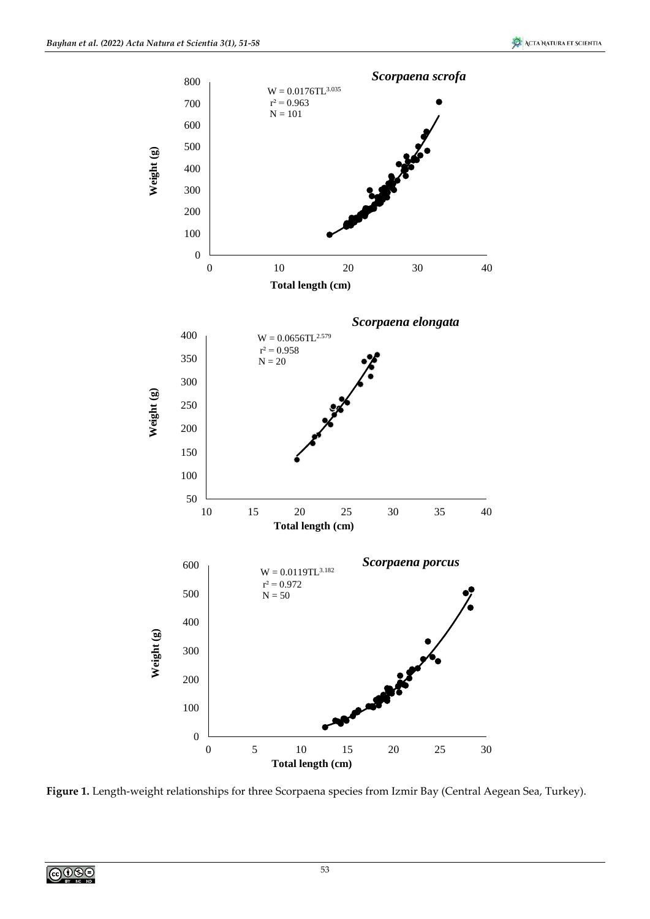

**Figure 1.** Length-weight relationships for three Scorpaena species from Izmir Bay (Central Aegean Sea, Turkey).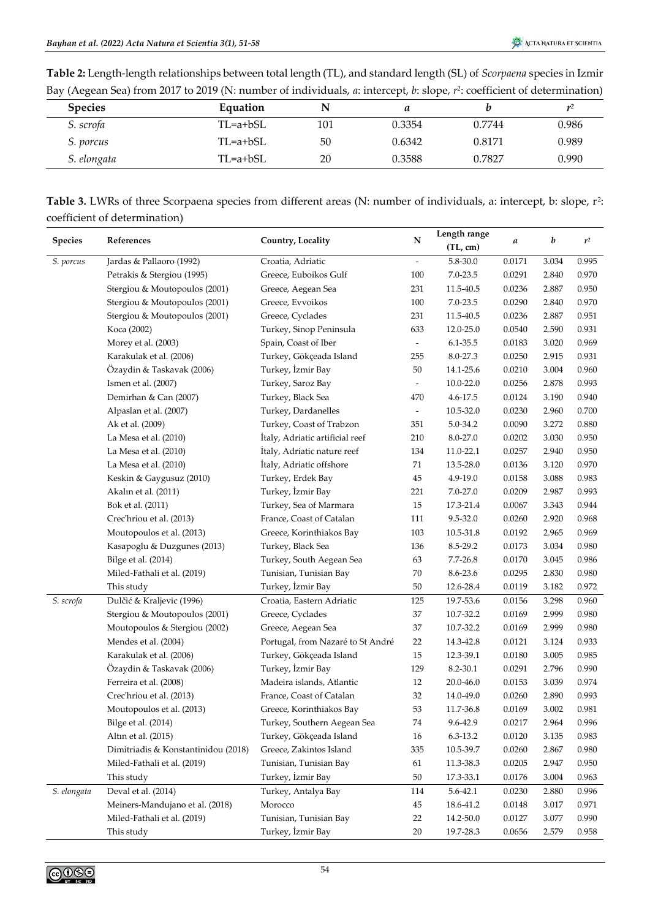| Table 2: Length-length relationships between total length (TL), and standard length (SL) of Scorpaena species in Izmir      |  |  |
|-----------------------------------------------------------------------------------------------------------------------------|--|--|
| Bay (Aegean Sea) from 2017 to 2019 (N: number of individuals, a: intercept, b: slope, $r^2$ : coefficient of determination) |  |  |

| <b>Species</b>   | Equation    | N   | a      |        | $\mathbf{r}^2$ |
|------------------|-------------|-----|--------|--------|----------------|
| S. scrofa        | $TL=a+ bSL$ | 101 | 0.3354 | 0.7744 | 0.986          |
| <i>S.</i> porcus | $TL=a+bSL$  | 50  | 0.6342 | 0.8171 | 0.989          |
| S. elongata      | TL=a+bSL    | 20  | 0.3588 | 0.7827 | 0.990          |

**Table 3.** LWRs of three Scorpaena species from different areas (N: number of individuals, a: intercept, b: slope, r<sup>2</sup>: coefficient of determination)

|                | References                          |                                   | ${\bf N}$                | Length range  |            | b     | $r^2$ |
|----------------|-------------------------------------|-----------------------------------|--------------------------|---------------|------------|-------|-------|
| <b>Species</b> |                                     | Country, Locality                 |                          | (TL, cm)      | a          |       |       |
| S. porcus      | Jardas & Pallaoro (1992)            | Croatia, Adriatic                 |                          | $5.8 - 30.0$  | $0.0171\,$ | 3.034 | 0.995 |
|                | Petrakis & Stergiou (1995)          | Greece, Euboikos Gulf             | 100                      | 7.0-23.5      | 0.0291     | 2.840 | 0.970 |
|                | Stergiou & Moutopoulos (2001)       | Greece, Aegean Sea                | 231                      | 11.5-40.5     | 0.0236     | 2.887 | 0.950 |
|                | Stergiou & Moutopoulos (2001)       | Greece, Evvoikos                  | 100                      | $7.0 - 23.5$  | 0.0290     | 2.840 | 0.970 |
|                | Stergiou & Moutopoulos (2001)       | Greece, Cyclades                  | 231                      | 11.5-40.5     | 0.0236     | 2.887 | 0.951 |
|                | Koca (2002)                         | Turkey, Sinop Peninsula           | 633                      | 12.0-25.0     | 0.0540     | 2.590 | 0.931 |
|                | Morey et al. (2003)                 | Spain, Coast of Iber              | $\overline{\phantom{a}}$ | 6.1-35.5      | 0.0183     | 3.020 | 0.969 |
|                | Karakulak et al. (2006)             | Turkey, Gökçeada Island           | 255                      | 8.0-27.3      | 0.0250     | 2.915 | 0.931 |
|                | Özaydin & Taskavak (2006)           | Turkey, İzmir Bay                 | $50\,$                   | 14.1-25.6     | 0.0210     | 3.004 | 0.960 |
|                | Ismen et al. (2007)                 | Turkey, Saroz Bay                 | $\overline{\phantom{a}}$ | $10.0 - 22.0$ | 0.0256     | 2.878 | 0.993 |
|                | Demirhan & Can (2007)               | Turkey, Black Sea                 | 470                      | 4.6-17.5      | 0.0124     | 3.190 | 0.940 |
|                | Alpaslan et al. (2007)              | Turkey, Dardanelles               | $\overline{\phantom{a}}$ | 10.5-32.0     | 0.0230     | 2.960 | 0.700 |
|                | Ak et al. (2009)                    | Turkey, Coast of Trabzon          | 351                      | 5.0-34.2      | 0.0090     | 3.272 | 0.880 |
|                | La Mesa et al. (2010)               | İtaly, Adriatic artificial reef   | 210                      | 8.0-27.0      | 0.0202     | 3.030 | 0.950 |
|                | La Mesa et al. (2010)               | İtaly, Adriatic nature reef       | 134                      | 11.0-22.1     | 0.0257     | 2.940 | 0.950 |
|                | La Mesa et al. (2010)               | İtaly, Adriatic offshore          | 71                       | 13.5-28.0     | 0.0136     | 3.120 | 0.970 |
|                | Keskin & Gaygusuz (2010)            | Turkey, Erdek Bay                 | 45                       | 4.9-19.0      | 0.0158     | 3.088 | 0.983 |
|                | Akalın et al. (2011)                | Turkey, İzmir Bay                 | 221                      | $7.0 - 27.0$  | 0.0209     | 2.987 | 0.993 |
|                | Bok et al. (2011)                   | Turkey, Sea of Marmara            | 15                       | 17.3-21.4     | 0.0067     | 3.343 | 0.944 |
|                | Crec'hriou et al. (2013)            | France, Coast of Catalan          | 111                      | 9.5-32.0      | 0.0260     | 2.920 | 0.968 |
|                | Moutopoulos et al. (2013)           | Greece, Korinthiakos Bay          | 103                      | 10.5-31.8     | 0.0192     | 2.965 | 0.969 |
|                | Kasapoglu & Duzgunes (2013)         | Turkey, Black Sea                 | 136                      | 8.5-29.2      | 0.0173     | 3.034 | 0.980 |
|                | Bilge et al. (2014)                 | Turkey, South Aegean Sea          | 63                       | 7.7-26.8      | 0.0170     | 3.045 | 0.986 |
|                | Miled-Fathali et al. (2019)         | Tunisian, Tunisian Bay            | 70                       | 8.6-23.6      | 0.0295     | 2.830 | 0.980 |
|                | This study                          | Turkey, İzmir Bay                 | $50\,$                   | 12.6-28.4     | 0.0119     | 3.182 | 0.972 |
| S. scrofa      | Dulčić & Kraljevic (1996)           | Croatia, Eastern Adriatic         | 125                      | 19.7-53.6     | 0.0156     | 3.298 | 0.960 |
|                | Stergiou & Moutopoulos (2001)       | Greece, Cyclades                  | 37                       | 10.7-32.2     | 0.0169     | 2.999 | 0.980 |
|                | Moutopoulos & Stergiou (2002)       | Greece, Aegean Sea                | 37                       | 10.7-32.2     | 0.0169     | 2.999 | 0.980 |
|                | Mendes et al. (2004)                | Portugal, from Nazaré to St André | 22                       | 14.3-42.8     | 0.0121     | 3.124 | 0.933 |
|                | Karakulak et al. (2006)             | Turkey, Gökçeada Island           | 15                       | 12.3-39.1     | 0.0180     | 3.005 | 0.985 |
|                | Özaydin & Taskavak (2006)           | Turkey, İzmir Bay                 | 129                      | 8.2-30.1      | 0.0291     | 2.796 | 0.990 |
|                | Ferreira et al. (2008)              | Madeira islands, Atlantic         | 12                       | 20.0-46.0     | 0.0153     | 3.039 | 0.974 |
|                | Crec'hriou et al. (2013)            | France, Coast of Catalan          | 32                       | 14.0-49.0     | 0.0260     | 2.890 | 0.993 |
|                | Moutopoulos et al. (2013)           | Greece, Korinthiakos Bay          | 53                       | 11.7-36.8     | 0.0169     | 3.002 | 0.981 |
|                | Bilge et al. (2014)                 | Turkey, Southern Aegean Sea       | $74\,$                   | 9.6-42.9      | 0.0217     | 2.964 | 0.996 |
|                | Altın et al. (2015)                 | Turkey, Gökçeada Island           | 16                       | 6.3-13.2      | 0.0120     | 3.135 | 0.983 |
|                | Dimitriadis & Konstantinidou (2018) | Greece, Zakintos Island           | 335                      | 10.5-39.7     | 0.0260     | 2.867 | 0.980 |
|                | Miled-Fathali et al. (2019)         | Tunisian, Tunisian Bay            | 61                       | 11.3-38.3     | 0.0205     | 2.947 | 0.950 |
|                | This study                          | Turkey, İzmir Bay                 | $50\,$                   | 17.3-33.1     | 0.0176     | 3.004 | 0.963 |
| S. elongata    | Deval et al. (2014)                 | Turkey, Antalya Bay               | 114                      | 5.6-42.1      | 0.0230     | 2.880 | 0.996 |
|                | Meiners-Mandujano et al. (2018)     | Morocco                           | $45\,$                   | 18.6-41.2     | 0.0148     | 3.017 | 0.971 |
|                | Miled-Fathali et al. (2019)         | Tunisian, Tunisian Bay            | 22                       | 14.2-50.0     | 0.0127     | 3.077 | 0.990 |
|                | This study                          | Turkey, İzmir Bay                 | 20                       | 19.7-28.3     | 0.0656     | 2.579 | 0.958 |

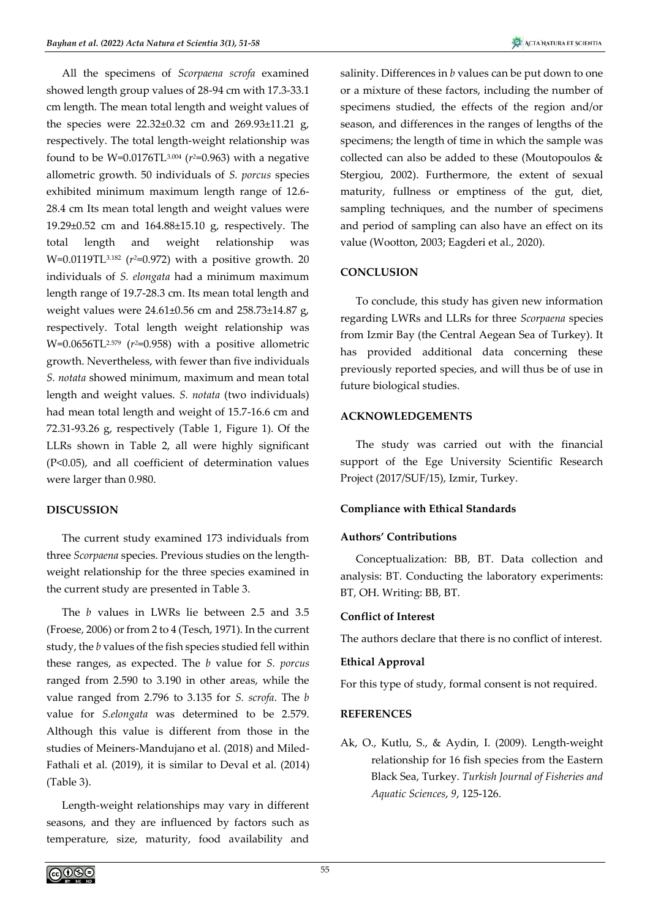All the specimens of *Scorpaena scrofa* examined showed length group values of 28-94 cm with 17.3-33.1 cm length. The mean total length and weight values of the species were 22.32±0.32 cm and 269.93±11.21 g, respectively. The total length-weight relationship was found to be W=0.0176TL3.004 (*r <sup>2</sup>*=0.963) with a negative allometric growth. 50 individuals of *S. porcus* species exhibited minimum maximum length range of 12.6- 28.4 cm Its mean total length and weight values were 19.29±0.52 cm and 164.88±15.10 g, respectively. The total length and weight relationship was W=0.0119TL3.182 (*r <sup>2</sup>*=0.972) with a positive growth. 20 individuals of *S. elongata* had a minimum maximum length range of 19.7-28.3 cm. Its mean total length and weight values were 24.61±0.56 cm and 258.73±14.87 g, respectively. Total length weight relationship was W=0.0656TL2.579 (*r <sup>2</sup>*=0.958) with a positive allometric growth. Nevertheless, with fewer than five individuals *S. notata* showed minimum, maximum and mean total length and weight values. *S. notata* (two individuals) had mean total length and weight of 15.7-16.6 cm and 72.31-93.26 g, respectively (Table 1, Figure 1). Of the LLRs shown in Table 2, all were highly significant (P<0.05), and all coefficient of determination values were larger than 0.980.

# **DISCUSSION**

The current study examined 173 individuals from three *Scorpaena* species. Previous studies on the lengthweight relationship for the three species examined in the current study are presented in Table 3.

The *b* values in LWRs lie between 2.5 and 3.5 (Froese, 2006) or from 2 to 4 (Tesch, 1971). In the current study, the *b* values of the fish species studied fell within these ranges, as expected. The *b* value for *S. porcus*  ranged from 2.590 to 3.190 in other areas, while the value ranged from 2.796 to 3.135 for *S. scrofa*. The *b* value for *S.elongata* was determined to be 2.579. Although this value is different from those in the studies of Meiners-Mandujano et al. (2018) and Miled-Fathali et al. (2019), it is similar to Deval et al. (2014) (Table 3).

Length-weight relationships may vary in different seasons, and they are influenced by factors such as temperature, size, maturity, food availability and

salinity. Differences in *b* values can be put down to one or a mixture of these factors, including the number of specimens studied, the effects of the region and/or season, and differences in the ranges of lengths of the specimens; the length of time in which the sample was collected can also be added to these (Moutopoulos & Stergiou, 2002). Furthermore, the extent of sexual maturity, fullness or emptiness of the gut, diet, sampling techniques, and the number of specimens and period of sampling can also have an effect on its value (Wootton, 2003; Eagderi et al., 2020).

# **CONCLUSION**

To conclude, this study has given new information regarding LWRs and LLRs for three *Scorpaena* species from Izmir Bay (the Central Aegean Sea of Turkey). It has provided additional data concerning these previously reported species, and will thus be of use in future biological studies.

# **ACKNOWLEDGEMENTS**

The study was carried out with the financial support of the Ege University Scientific Research Project (2017/SUF/15), Izmir, Turkey.

## **Compliance with Ethical Standards**

### **Authors' Contributions**

Conceptualization: BB, BT. Data collection and analysis: BT. Conducting the laboratory experiments: BT, OH. Writing: BB, BT.

### **Conflict of Interest**

The authors declare that there is no conflict of interest.

### **Ethical Approval**

For this type of study, formal consent is not required.

# **REFERENCES**

Ak, O., Kutlu, S., & Aydin, I. (2009). Length-weight relationship for 16 fish species from the Eastern Black Sea, Turkey. *Turkish Journal of Fisheries and Aquatic Sciences*, *9*, 125-126.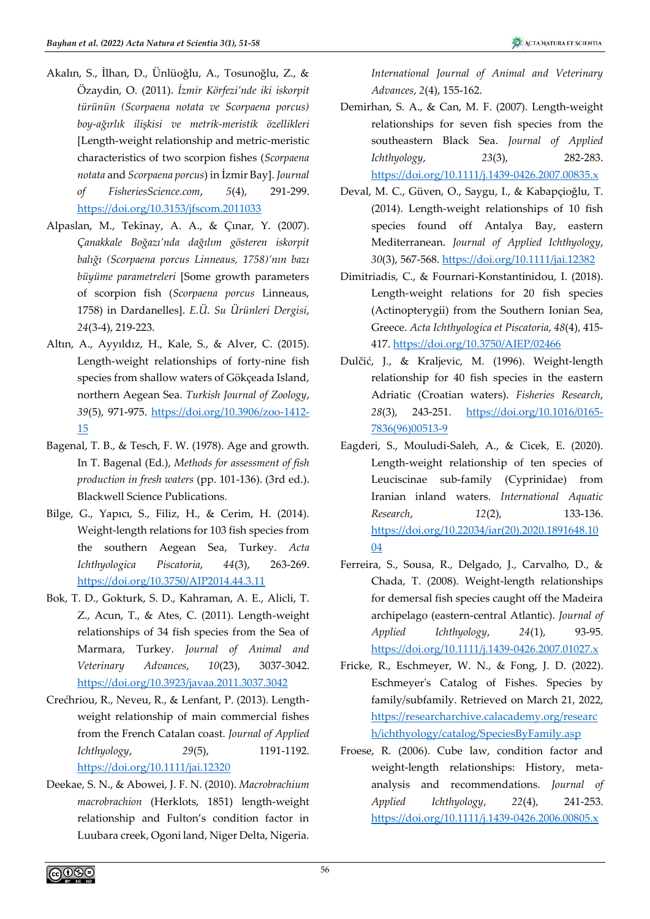- Akalın, S., İlhan, D., Ünlüoğlu, A., Tosunoğlu, Z., & Özaydin, O. (2011). *İzmir Körfezi'nde iki iskorpit türünün (Scorpaena notata ve Scorpaena porcus) boy-ağırlık ilişkisi ve metrik-meristik özellikleri* [Length-weight relationship and metric-meristic characteristics of two scorpion fishes (*Scorpaena notata* and *Scorpaena porcus*) in İzmir Bay]. *Journal of FisheriesScience.com*, *5*(4), 291-299. <https://doi.org/10.3153/jfscom.2011033>
- Alpaslan, M., Tekinay, A. A., & Çınar, Y. (2007). *Çanakkale Boğazı'nda dağılım gösteren iskorpit balığı (Scorpaena porcus Linneaus, 1758)'nın bazı büyüme parametreleri* [Some growth parameters of scorpion fish (*Scorpaena porcus* Linneaus, 1758) in Dardanelles]. *E.Ü. Su Ürünleri Dergisi*, *24*(3-4), 219-223.
- Altın, A., Ayyıldız, H., Kale, S., & Alver, C. (2015). Length-weight relationships of forty-nine fish species from shallow waters of Gökçeada Island, northern Aegean Sea. *Turkish Journal of Zoology*, *39*(5), 971-975. [https://doi.org/10.3906/zoo-1412-](https://doi.org/10.3906/zoo-1412-15) [15](https://doi.org/10.3906/zoo-1412-15)
- Bagenal, T. B., & Tesch, F. W. (1978). Age and growth. In T. Bagenal (Ed.), *Methods for assessment of fish production in fresh waters* (pp. 101-136). (3rd ed.). Blackwell Science Publications.
- Bilge, G., Yapıcı, S., Filiz, H., & Cerim, H. (2014). Weight-length relations for 103 fish species from the southern Aegean Sea, Turkey. *Acta Ichthyologica Piscatoria*, *44*(3), 263-269. <https://doi.org/10.3750/AIP2014.44.3.11>
- Bok, T. D., Gokturk, S. D., Kahraman, A. E., Alicli, T. Z., Acun, T., & Ates, C. (2011). Length-weight relationships of 34 fish species from the Sea of Marmara, Turkey. *Journal of Animal and Veterinary Advances*, *10*(23), 3037-3042. <https://doi.org/10.3923/javaa.2011.3037.3042>
- Crećhriou, R., Neveu, R., & Lenfant, P. (2013). Lengthweight relationship of main commercial fishes from the French Catalan coast. *Journal of Applied Ichthyology*, *29*(5), 1191-1192. <https://doi.org/10.1111/jai.12320>
- Deekae, S. N., & Abowei, J. F. N. (2010). *Macrobrachium macrobrachion* (Herklots, 1851) length-weight relationship and Fulton's condition factor in Luubara creek, Ogoni land, Niger Delta, Nigeria.

*International Journal of Animal and Veterinary Advances*, *2*(4), 155-162.

- Demirhan, S. A., & Can, M. F. (2007). Length-weight relationships for seven fish species from the southeastern Black Sea. *Journal of Applied Ichthyology*, *23*(3), 282-283. <https://doi.org/10.1111/j.1439-0426.2007.00835.x>
- Deval, M. C., Güven, O., Saygu, I., & Kabapçioğlu, T. (2014). Length-weight relationships of 10 fish species found off Antalya Bay, eastern Mediterranean. *Journal of Applied Ichthyology*, *30*(3), 567-568. <https://doi.org/10.1111/jai.12382>
- Dimitriadis, C., & Fournari-Konstantinidou, I. (2018). Length-weight relations for 20 fish species (Actinopterygii) from the Southern Ionian Sea, Greece. *Acta Ichthyologica et Piscatoria*, *48*(4), 415- 417. <https://doi.org/10.3750/AIEP/02466>
- Dulčić, J., & Kraljevic, M. (1996). Weight-length relationship for 40 fish species in the eastern Adriatic (Croatian waters). *Fisheries Research*, *28*(3), 243-251. [https://doi.org/10.1016/0165-](https://doi.org/10.1016/0165-7836(96)00513-9) [7836\(96\)00513-9](https://doi.org/10.1016/0165-7836(96)00513-9)
- Eagderi, S., Mouludi-Saleh, A., & Cicek, E. (2020). Length-weight relationship of ten species of Leuciscinae sub-family (Cyprinidae) from Iranian inland waters. *International Aquatic Research*, *12*(2), 133-136. [https://doi.org/10.22034/iar\(20\).2020.1891648.10](https://doi.org/10.22034/iar(20).2020.1891648.1004) [04](https://doi.org/10.22034/iar(20).2020.1891648.1004)
- Ferreira, S., Sousa, R., Delgado, J., Carvalho, D., & Chada, T. (2008). Weight-length relationships for demersal fish species caught off the Madeira archipelago (eastern-central Atlantic). *Journal of Applied Ichthyology*, *24*(1), 93-95. <https://doi.org/10.1111/j.1439-0426.2007.01027.x>
- Fricke, R., Eschmeyer, W. N., & Fong, J. D. (2022). Eschmeyer's Catalog of Fishes. Species by family/subfamily. Retrieved on March 21, 2022, [https://researcharchive.calacademy.org/researc](https://researcharchive.calacademy.org/research/ichthyology/catalog/SpeciesByFamily.asp) [h/ichthyology/catalog/SpeciesByFamily.asp](https://researcharchive.calacademy.org/research/ichthyology/catalog/SpeciesByFamily.asp)
- Froese, R. (2006). Cube law, condition factor and weight-length relationships: History, metaanalysis and recommendations. *Journal of Applied Ichthyology*, *22*(4), 241-253. <https://doi.org/10.1111/j.1439-0426.2006.00805.x>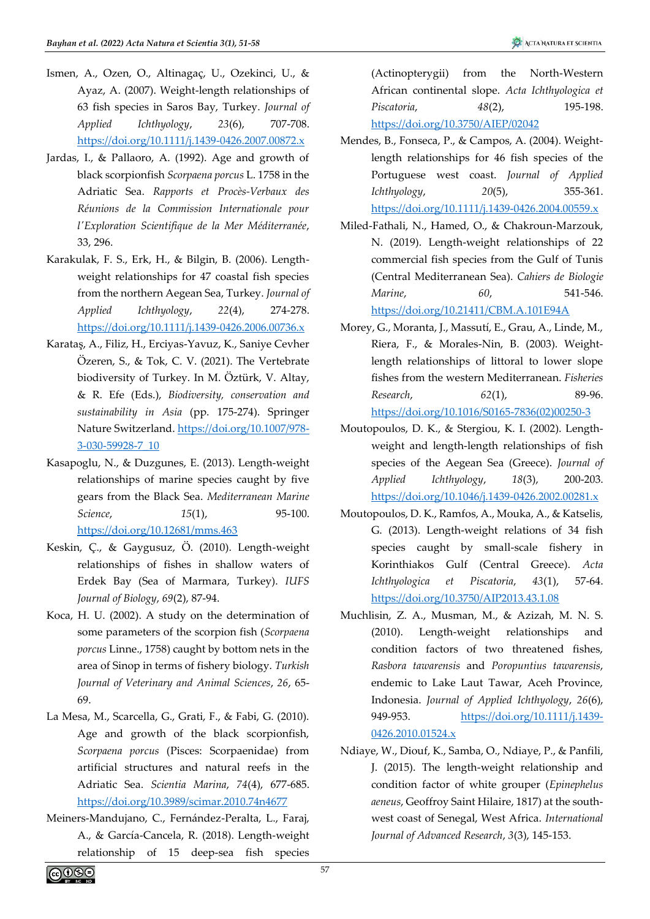- Ismen, A., Ozen, O., Altinagaç, U., Ozekinci, U., & Ayaz, A. (2007). Weight-length relationships of 63 fish species in Saros Bay, Turkey. *Journal of Applied Ichthyology*, *23*(6), 707-708. <https://doi.org/10.1111/j.1439-0426.2007.00872.x>
- Jardas, I., & Pallaoro, A. (1992). Age and growth of black scorpionfish *Scorpaena porcus* L. 1758 in the Adriatic Sea. *Rapports et Procès-Verbaux des Réunions de la Commission Internationale pour l'Exploration Scientifique de la Mer Méditerranée*, 33, 296.
- Karakulak, F. S., Erk, H., & Bilgin, B. (2006). Lengthweight relationships for 47 coastal fish species from the northern Aegean Sea, Turkey. *Journal of Applied Ichthyology*, *22*(4), 274-278. <https://doi.org/10.1111/j.1439-0426.2006.00736.x>
- Karataş, A., Filiz, H., Erciyas-Yavuz, K., Saniye Cevher Özeren, S., & Tok, C. V. (2021). The Vertebrate biodiversity of Turkey. In M. Öztürk, V. Altay, & R. Efe (Eds.), *Biodiversity, conservation and sustainability in Asia* (pp. 175-274). Springer Nature Switzerland. [https://doi.org/10.1007/978-](https://doi.org/10.1007/978-3-030-59928-7_10) [3-030-59928-7\\_10](https://doi.org/10.1007/978-3-030-59928-7_10)
- Kasapoglu, N., & Duzgunes, E. (2013). Length-weight relationships of marine species caught by five gears from the Black Sea. *Mediterranean Marine Science*, *15*(1), 95-100. <https://doi.org/10.12681/mms.463>
- Keskin, Ç., & Gaygusuz, Ö. (2010). Length-weight relationships of fishes in shallow waters of Erdek Bay (Sea of Marmara, Turkey). *IUFS Journal of Biology*, *69*(2), 87-94.
- Koca, H. U. (2002). A study on the determination of some parameters of the scorpion fish (*Scorpaena porcus* Linne., 1758) caught by bottom nets in the area of Sinop in terms of fishery biology. *Turkish Journal of Veterinary and Animal Sciences*, *26*, 65- 69.
- La Mesa, M., Scarcella, G., Grati, F., & Fabi, G. (2010). Age and growth of the black scorpionfish, *Scorpaena porcus* (Pisces: Scorpaenidae) from artificial structures and natural reefs in the Adriatic Sea. *Scientia Marina*, *74*(4), 677-685. <https://doi.org/10.3989/scimar.2010.74n4677>
- Meiners-Mandujano, C., Fernández-Peralta, L., Faraj, A., & García-Cancela, R. (2018). Length-weight relationship of 15 deep-sea fish species

(Actinopterygii) from the North-Western African continental slope. *Acta Ichthyologica et Piscatoria*, *48*(2), 195-198. <https://doi.org/10.3750/AIEP/02042>

Mendes, B., Fonseca, P., & Campos, A. (2004). Weightlength relationships for 46 fish species of the Portuguese west coast. *Journal of Applied Ichthyology*, *20*(5), 355-361. <https://doi.org/10.1111/j.1439-0426.2004.00559.x>

Miled-Fathali, N., Hamed, O., & Chakroun-Marzouk, N. (2019). Length-weight relationships of 22 commercial fish species from the Gulf of Tunis (Central Mediterranean Sea). *Cahiers de Biologie Marine*, *60*, 541-546. <https://doi.org/10.21411/CBM.A.101E94A>

Morey, G., Moranta, J., Massutí, E., Grau, A., Linde, M., Riera, F., & Morales-Nin, B. (2003). Weightlength relationships of littoral to lower slope fishes from the western Mediterranean. *Fisheries Research*, *62*(1), 89-96. [https://doi.org/10.1016/S0165-7836\(02\)00250-3](https://doi.org/10.1016/S0165-7836(02)00250-3)

- Moutopoulos, D. K., & Stergiou, K. I. (2002). Lengthweight and length-length relationships of fish species of the Aegean Sea (Greece). *Journal of Applied Ichthyology*, *18*(3), 200-203. <https://doi.org/10.1046/j.1439-0426.2002.00281.x>
- Moutopoulos, D. K., Ramfos, A., Mouka, A., & Katselis, G. (2013). Length-weight relations of 34 fish species caught by small-scale fishery in Korinthiakos Gulf (Central Greece). *Acta Ichthyologica et Piscatoria*, *43*(1), 57-64. <https://doi.org/10.3750/AIP2013.43.1.08>
- Muchlisin, Z. A., Musman, M., & Azizah, M. N. S. (2010). Length-weight relationships and condition factors of two threatened fishes, *Rasbora tawarensis* and *Poropuntius tawarensis*, endemic to Lake Laut Tawar, Aceh Province, Indonesia. *Journal of Applied Ichthyology*, *26*(6), 949-953. [https://doi.org/10.1111/j.1439-](https://doi.org/10.1111/j.1439-0426.2010.01524.x) [0426.2010.01524.x](https://doi.org/10.1111/j.1439-0426.2010.01524.x)
- Ndiaye, W., Diouf, K., Samba, O., Ndiaye, P., & Panfili, J. (2015). The length-weight relationship and condition factor of white grouper (*Epinephelus aeneus*, Geoffroy Saint Hilaire, 1817) at the southwest coast of Senegal, West Africa. *International Journal of Advanced Research*, *3*(3), 145-153.